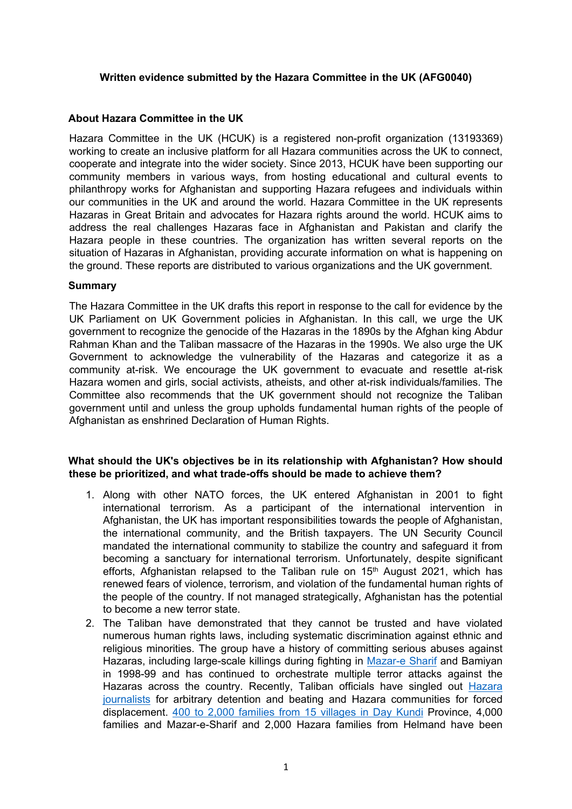## **Written evidence submitted by the Hazara Committee in the UK (AFG0040)**

# **About Hazara Committee in the UK**

Hazara Committee in the UK (HCUK) is a registered non-profit organization (13193369) working to create an inclusive platform for all Hazara communities across the UK to connect, cooperate and integrate into the wider society. Since 2013, HCUK have been supporting our community members in various ways, from hosting educational and cultural events to philanthropy works for Afghanistan and supporting Hazara refugees and individuals within our communities in the UK and around the world. Hazara Committee in the UK represents Hazaras in Great Britain and advocates for Hazara rights around the world. HCUK aims to address the real challenges Hazaras face in Afghanistan and Pakistan and clarify the Hazara people in these countries. The organization has written several reports on the situation of Hazaras in Afghanistan, providing accurate information on what is happening on the ground. These reports are distributed to various organizations and the UK government.

## **Summary**

The Hazara Committee in the UK drafts this report in response to the call for evidence by the UK Parliament on UK Government policies in Afghanistan. In this call, we urge the UK government to recognize the genocide of the Hazaras in the 1890s by the Afghan king Abdur Rahman Khan and the Taliban massacre of the Hazaras in the 1990s. We also urge the UK Government to acknowledge the vulnerability of the Hazaras and categorize it as a community at-risk. We encourage the UK government to evacuate and resettle at-risk Hazara women and girls, social activists, atheists, and other at-risk individuals/families. The Committee also recommends that the UK government should not recognize the Taliban government until and unless the group upholds fundamental human rights of the people of Afghanistan as enshrined Declaration of Human Rights.

# **What should the UK's objectives be in its relationship with Afghanistan? How should these be prioritized, and what trade-offs should be made to achieve them?**

- 1. Along with other NATO forces, the UK entered Afghanistan in 2001 to fight international terrorism. As a participant of the international intervention in Afghanistan, the UK has important responsibilities towards the people of Afghanistan, the international community, and the British taxpayers. The UN Security Council mandated the international community to stabilize the country and safeguard it from becoming a sanctuary for international terrorism. Unfortunately, despite significant efforts, Afghanistan relapsed to the Taliban rule on  $15<sup>th</sup>$  August 2021, which has renewed fears of violence, terrorism, and violation of the fundamental human rights of the people of the country. If not managed strategically, Afghanistan has the potential to become a new terror state.
- 2. The Taliban have demonstrated that they cannot be trusted and have violated numerous human rights laws, including systematic discrimination against ethnic and religious minorities. The group have a history of committing serious abuses against Hazaras, including large-scale killings during fighting in [Mazar-e](https://www.hrw.org/legacy/reports98/afghan/Afrepor0.htm) [Sharif](https://www.hrw.org/legacy/reports98/afghan/Afrepor0.htm) and Bamiyan in 1998-99 and has continued to orchestrate multiple terror attacks against the Hazaras across the country. Recently, Taliban officials have singled out [Hazara](https://www.hrw.org/news/2021/09/08/afghanistan-taliban-severely-beat-journalists) [journalists](https://www.hrw.org/news/2021/09/08/afghanistan-taliban-severely-beat-journalists) for arbitrary detention and beating and Hazara communities for forced displacement. [400](https://www.abc.net.au/news/2021-10-16/taliban-carrying-out-mass-eviction-shia-hazara-minority/100505874) [to](https://www.abc.net.au/news/2021-10-16/taliban-carrying-out-mass-eviction-shia-hazara-minority/100505874) [2,000](https://www.abc.net.au/news/2021-10-16/taliban-carrying-out-mass-eviction-shia-hazara-minority/100505874) [families](https://www.abc.net.au/news/2021-10-16/taliban-carrying-out-mass-eviction-shia-hazara-minority/100505874) [from](https://www.abc.net.au/news/2021-10-16/taliban-carrying-out-mass-eviction-shia-hazara-minority/100505874) [15](https://www.abc.net.au/news/2021-10-16/taliban-carrying-out-mass-eviction-shia-hazara-minority/100505874) [villages](https://www.abc.net.au/news/2021-10-16/taliban-carrying-out-mass-eviction-shia-hazara-minority/100505874) [in](https://www.abc.net.au/news/2021-10-16/taliban-carrying-out-mass-eviction-shia-hazara-minority/100505874) [Day](https://www.abc.net.au/news/2021-10-16/taliban-carrying-out-mass-eviction-shia-hazara-minority/100505874) [Kundi](https://www.abc.net.au/news/2021-10-16/taliban-carrying-out-mass-eviction-shia-hazara-minority/100505874) Province, 4,000 families and Mazar-e-Sharif and 2,000 Hazara families from Helmand have been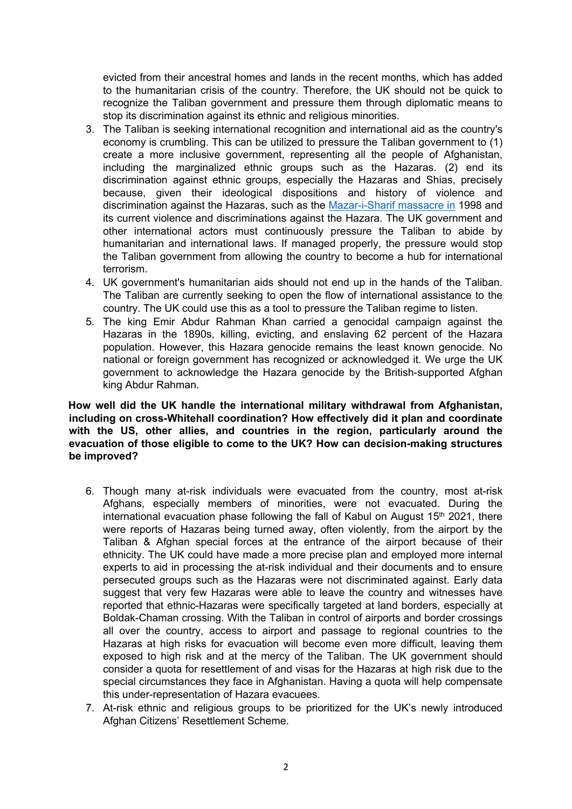evicted from their ancestral homes and lands in the recent months, which has added to the humanitarian crisis of the country. Therefore, the UK should not be quick to recognize the Taliban government and pressure them through diplomatic means to stop its discrimination against its ethnic and religious minorities.

- 3. The Taliban is seeking international recognition and international aid as the country's economy is crumbling. This can be utilized to pressure the Taliban government to (1) create a more inclusive government, representing all the people of Afghanistan, including the marginalized ethnic groups such as the Hazaras. (2) end its discrimination against ethnic groups, especially the Hazaras and Shias, precisely because, given their ideological dispositions and history of violence and discrimination against the Hazaras, such as the [Mazar-i-Sharif](https://www.hrw.org/legacy/reports98/afghan/Afrepor0.htm) [massacre](https://www.hrw.org/legacy/reports98/afghan/Afrepor0.htm) [in](https://www.hrw.org/legacy/reports98/afghan/Afrepor0.htm) 1998 and its current violence and discriminations against the Hazara. The UK government and other international actors must continuously pressure the Taliban to abide by humanitarian and international laws. If managed properly, the pressure would stop the Taliban government from allowing the country to become a hub for international terrorism.
- 4. UK government's humanitarian aids should not end up in the hands of the Taliban. The Taliban are currently seeking to open the flow of international assistance to the country. The UK could use this as a tool to pressure the Taliban regime to listen.
- 5. The king Emir Abdur Rahman Khan carried a genocidal campaign against the Hazaras in the 1890s, killing, evicting, and enslaving 62 percent of the Hazara population. However, this Hazara genocide remains the least known genocide. No national or foreign government has recognized or acknowledged it. We urge the UK government to acknowledge the Hazara genocide by the British-supported Afghan king Abdur Rahman.

#### **How well did the UK handle the international military withdrawal from Afghanistan, including on cross-Whitehall coordination? How effectively did it plan and coordinate with the US, other allies, and countries in the region, particularly around the evacuation of those eligible to come to the UK? How can decision-making structures be improved?**

- 6. Though many at-risk individuals were evacuated from the country, most at-risk Afghans, especially members of minorities, were not evacuated. During the international evacuation phase following the fall of Kabul on August  $15<sup>th</sup>$  2021, there were reports of Hazaras being turned away, often violently, from the airport by the Taliban & Afghan special forces at the entrance of the airport because of their ethnicity. The UK could have made a more precise plan and employed more internal experts to aid in processing the at-risk individual and their documents and to ensure persecuted groups such as the Hazaras were not discriminated against. Early data suggest that very few Hazaras were able to leave the country and witnesses have reported that ethnic-Hazaras were specifically targeted at land borders, especially at Boldak-Chaman crossing. With the Taliban in control of airports and border crossings all over the country, access to airport and passage to regional countries to the Hazaras at high risks for evacuation will become even more difficult, leaving them exposed to high risk and at the mercy of the Taliban. The UK government should consider a quota for resettlement of and visas for the Hazaras at high risk due to the special circumstances they face in Afghanistan. Having a quota will help compensate this under-representation of Hazara evacuees.
- 7. At-risk ethnic and religious groups to be prioritized for the UK's newly introduced Afghan Citizens' Resettlement Scheme.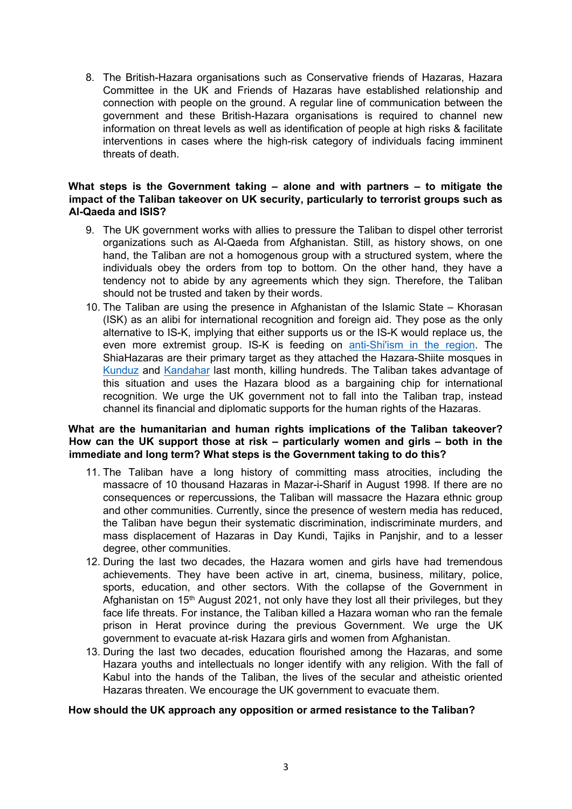8. The British-Hazara organisations such as Conservative friends of Hazaras, Hazara Committee in the UK and Friends of Hazaras have established relationship and connection with people on the ground. A regular line of communication between the government and these British-Hazara organisations is required to channel new information on threat levels as well as identification of people at high risks & facilitate interventions in cases where the high-risk category of individuals facing imminent threats of death.

## **What steps is the Government taking – alone and with partners – to mitigate the impact of the Taliban takeover on UK security, particularly to terrorist groups such as Al-Qaeda and ISIS?**

- 9. The UK government works with allies to pressure the Taliban to dispel other terrorist organizations such as Al-Qaeda from Afghanistan. Still, as history shows, on one hand, the Taliban are not a homogenous group with a structured system, where the individuals obey the orders from top to bottom. On the other hand, they have a tendency not to abide by any agreements which they sign. Therefore, the Taliban should not be trusted and taken by their words.
- 10. The Taliban are using the presence in Afghanistan of the Islamic State Khorasan (ISK) as an alibi for international recognition and foreign aid. They pose as the only alternative to IS-K, implying that either supports us or the IS-K would replace us, the even more extremist group. IS-K is feeding on [anti-Shi'ism](https://www.hrw.org/news/2021/10/25/afghanistan-surge-islamic-state-attacks-shia) [in](https://www.hrw.org/news/2021/10/25/afghanistan-surge-islamic-state-attacks-shia) [the](https://www.hrw.org/news/2021/10/25/afghanistan-surge-islamic-state-attacks-shia) [region.](https://www.hrw.org/news/2021/10/25/afghanistan-surge-islamic-state-attacks-shia) The ShiaHazaras are their primary target as they attached the Hazara-Shiite mosques in [Kunduz](https://www.bbc.co.uk/news/world-asia-58842793) [a](https://www.bbc.co.uk/news/world-asia-58842793)nd [Kandahar](https://www.bbc.co.uk/news/world-asia-58925863) [l](https://www.bbc.co.uk/news/world-asia-58925863)ast month, killing hundreds. The Taliban takes advantage of this situation and uses the Hazara blood as a bargaining chip for international recognition. We urge the UK government not to fall into the Taliban trap, instead channel its financial and diplomatic supports for the human rights of the Hazaras.

## **What are the humanitarian and human rights implications of the Taliban takeover? How can the UK support those at risk – particularly women and girls – both in the immediate and long term? What steps is the Government taking to do this?**

- 11. The Taliban have a long history of committing mass atrocities, including the massacre of 10 thousand Hazaras in Mazar-i-Sharif in August 1998. If there are no consequences or repercussions, the Taliban will massacre the Hazara ethnic group and other communities. Currently, since the presence of western media has reduced, the Taliban have begun their systematic discrimination, indiscriminate murders, and mass displacement of Hazaras in Day Kundi, Tajiks in Panjshir, and to a lesser degree, other communities.
- 12. During the last two decades, the Hazara women and girls have had tremendous achievements. They have been active in art, cinema, business, military, police, sports, education, and other sectors. With the collapse of the Government in Afghanistan on 15<sup>th</sup> August 2021, not only have they lost all their privileges, but they face life threats. For instance, the Taliban killed a Hazara woman who ran the female prison in Herat province during the previous Government. We urge the UK government to evacuate at-risk Hazara girls and women from Afghanistan.
- 13. During the last two decades, education flourished among the Hazaras, and some Hazara youths and intellectuals no longer identify with any religion. With the fall of Kabul into the hands of the Taliban, the lives of the secular and atheistic oriented Hazaras threaten. We encourage the UK government to evacuate them.

## **How should the UK approach any opposition or armed resistance to the Taliban?**